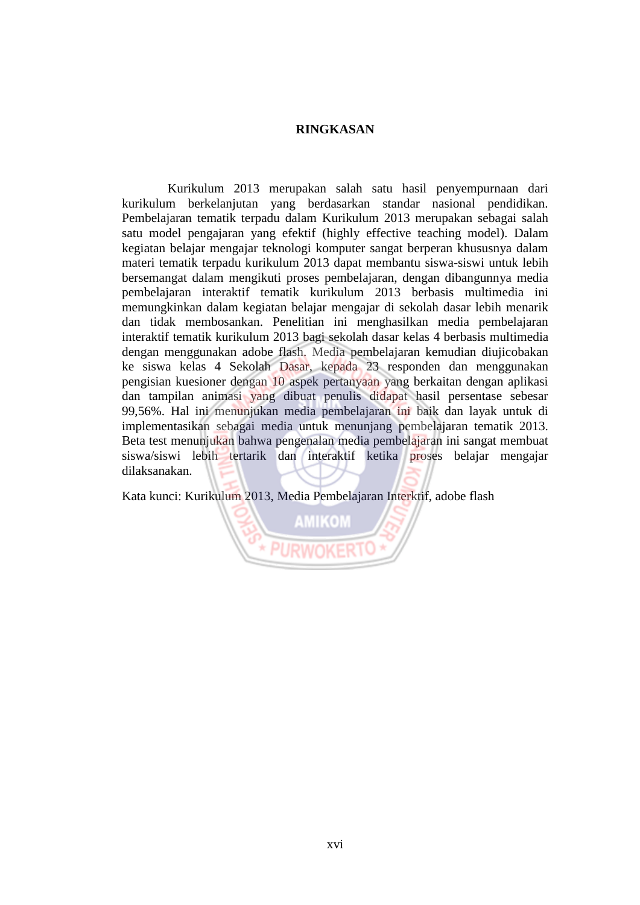## **RINGKASAN**

Kurikulum 2013 merupakan salah satu hasil penyempurnaan dari kurikulum berkelanjutan yang berdasarkan standar nasional pendidikan. Pembelajaran tematik terpadu dalam Kurikulum 2013 merupakan sebagai salah satu model pengajaran yang efektif (highly effective teaching model). Dalam kegiatan belajar mengajar teknologi komputer sangat berperan khususnya dalam materi tematik terpadu kurikulum 2013 dapat membantu siswa-siswi untuk lebih bersemangat dalam mengikuti proses pembelajaran, dengan dibangunnya media pembelajaran interaktif tematik kurikulum 2013 berbasis multimedia ini memungkinkan dalam kegiatan belajar mengajar di sekolah dasar lebih menarik dan tidak membosankan. Penelitian ini menghasilkan media pembelajaran interaktif tematik kurikulum 2013 bagi sekolah dasar kelas 4 berbasis multimedia dengan menggunakan adobe flash. Media pembelajaran kemudian diujicobakan ke siswa kelas 4 Sekolah Dasar, kepada 23 responden dan menggunakan pengisian kuesioner dengan 10 aspek pertanyaan yang berkaitan dengan aplikasi dan tampilan animasi yang dibuat penulis didapat hasil persentase sebesar 99,56%. Hal ini menunjukan media pembelajaran ini baik dan layak untuk di implementasikan sebagai media untuk menunjang pembelajaran tematik 2013. Beta test menunjukan bahwa pengenalan media pembelajaran ini sangat membuat siswa/siswi lebih tertarik dan interaktif ketika proses belajar mengajar dilaksanakan.

Kata kunci: Kurikulum 2013, Media Pembelajaran Interktif, adobe flash

**AMIKOM**